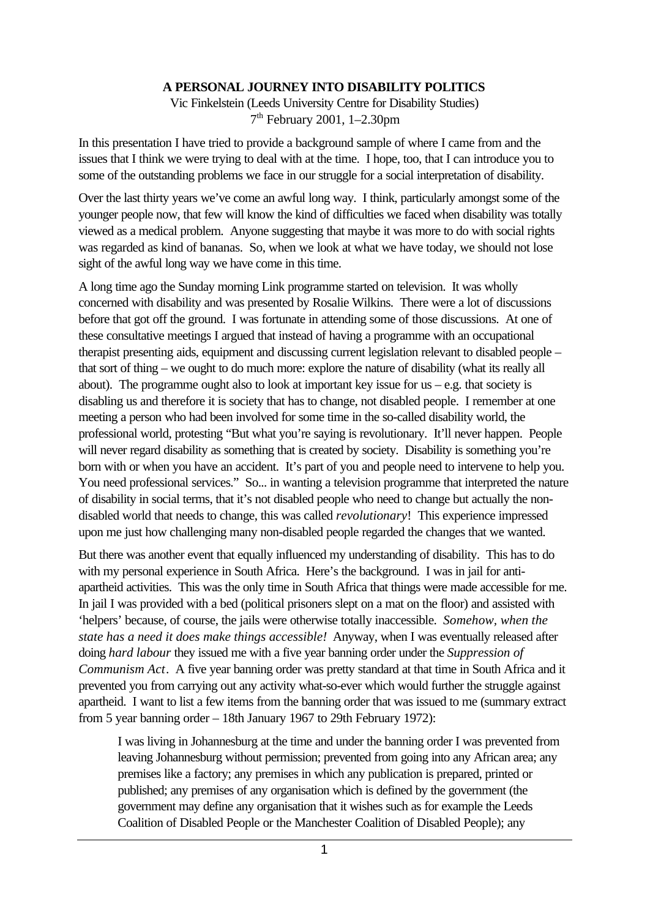## **A PERSONAL JOURNEY INTO DISABILITY POLITICS**

Vic Finkelstein (Leeds University Centre for Disability Studies) 7th February 2001, 1–2.30pm

In this presentation I have tried to provide a background sample of where I came from and the issues that I think we were trying to deal with at the time. I hope, too, that I can introduce you to some of the outstanding problems we face in our struggle for a social interpretation of disability.

Over the last thirty years we've come an awful long way. I think, particularly amongst some of the younger people now, that few will know the kind of difficulties we faced when disability was totally viewed as a medical problem. Anyone suggesting that maybe it was more to do with social rights was regarded as kind of bananas. So, when we look at what we have today, we should not lose sight of the awful long way we have come in this time.

A long time ago the Sunday morning Link programme started on television. It was wholly concerned with disability and was presented by Rosalie Wilkins. There were a lot of discussions before that got off the ground. I was fortunate in attending some of those discussions. At one of these consultative meetings I argued that instead of having a programme with an occupational therapist presenting aids, equipment and discussing current legislation relevant to disabled people – that sort of thing – we ought to do much more: explore the nature of disability (what its really all about). The programme ought also to look at important key issue for  $us - e.g.$  that society is disabling us and therefore it is society that has to change, not disabled people. I remember at one meeting a person who had been involved for some time in the so-called disability world, the professional world, protesting "But what you're saying is revolutionary. It'll never happen. People will never regard disability as something that is created by society. Disability is something you're born with or when you have an accident. It's part of you and people need to intervene to help you. You need professional services." So... in wanting a television programme that interpreted the nature of disability in social terms, that it's not disabled people who need to change but actually the nondisabled world that needs to change, this was called *revolutionary*! This experience impressed upon me just how challenging many non-disabled people regarded the changes that we wanted.

But there was another event that equally influenced my understanding of disability. This has to do with my personal experience in South Africa. Here's the background. I was in jail for antiapartheid activities. This was the only time in South Africa that things were made accessible for me. In jail I was provided with a bed (political prisoners slept on a mat on the floor) and assisted with 'helpers' because, of course, the jails were otherwise totally inaccessible. *Somehow, when the state has a need it does make things accessible!* Anyway, when I was eventually released after doing *hard labour* they issued me with a five year banning order under the *Suppression of Communism Act*. A five year banning order was pretty standard at that time in South Africa and it prevented you from carrying out any activity what-so-ever which would further the struggle against apartheid. I want to list a few items from the banning order that was issued to me (summary extract from 5 year banning order – 18th January 1967 to 29th February 1972):

I was living in Johannesburg at the time and under the banning order I was prevented from leaving Johannesburg without permission; prevented from going into any African area; any premises like a factory; any premises in which any publication is prepared, printed or published; any premises of any organisation which is defined by the government (the government may define any organisation that it wishes such as for example the Leeds Coalition of Disabled People or the Manchester Coalition of Disabled People); any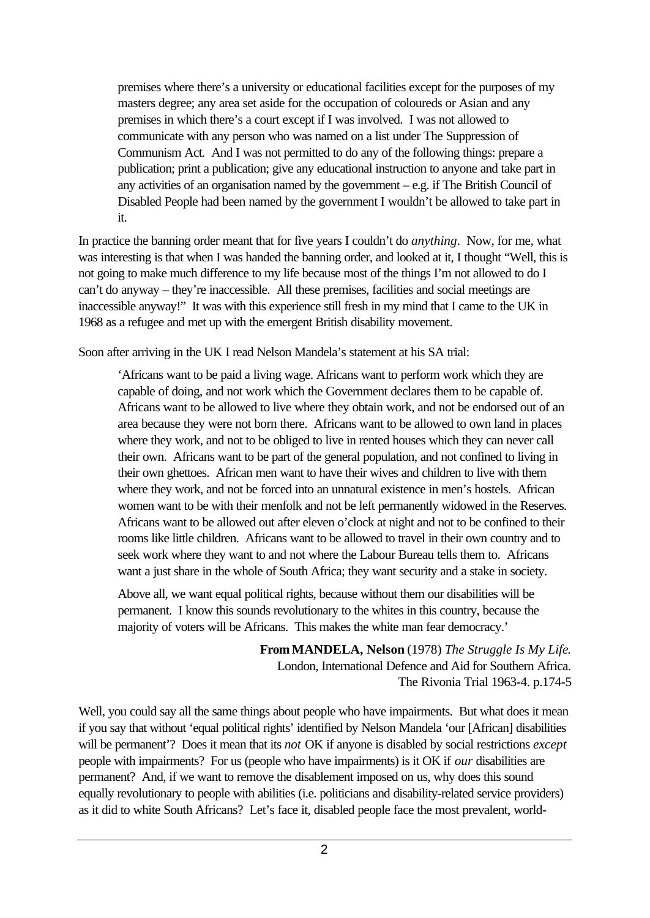premises where there's a university or educational facilities except for the purposes of my masters degree; any area set aside for the occupation of coloureds or Asian and any premises in which there's a court except if I was involved. I was not allowed to communicate with any person who was named on a list under The Suppression of Communism Act. And I was not permitted to do any of the following things: prepare a publication; print a publication; give any educational instruction to anyone and take part in any activities of an organisation named by the government – e.g. if The British Council of Disabled People had been named by the government I wouldn't be allowed to take part in it.

In practice the banning order meant that for five years I couldn't do *anything*. Now, for me, what was interesting is that when I was handed the banning order, and looked at it, I thought "Well, this is not going to make much difference to my life because most of the things I'm not allowed to do I can't do anyway – they're inaccessible. All these premises, facilities and social meetings are inaccessible anyway!" It was with this experience still fresh in my mind that I came to the UK in 1968 as a refugee and met up with the emergent British disability movement.

Soon after arriving in the UK I read Nelson Mandela's statement at his SA trial:

'Africans want to be paid a living wage. Africans want to perform work which they are capable of doing, and not work which the Government declares them to be capable of. Africans want to be allowed to live where they obtain work, and not be endorsed out of an area because they were not born there. Africans want to be allowed to own land in places where they work, and not to be obliged to live in rented houses which they can never call their own. Africans want to be part of the general population, and not confined to living in their own ghettoes. African men want to have their wives and children to live with them where they work, and not be forced into an unnatural existence in men's hostels. African women want to be with their menfolk and not be left permanently widowed in the Reserves. Africans want to be allowed out after eleven o'clock at night and not to be confined to their rooms like little children. Africans want to be allowed to travel in their own country and to seek work where they want to and not where the Labour Bureau tells them to. Africans want a just share in the whole of South Africa; they want security and a stake in society.

Above all, we want equal political rights, because without them our disabilities will be permanent. I know this sounds revolutionary to the whites in this country, because the majority of voters will be Africans. This makes the white man fear democracy.'

> **From MANDELA, Nelson** (1978) *The Struggle Is My Life*. London, International Defence and Aid for Southern Africa. The Rivonia Trial 1963-4. p.174-5

Well, you could say all the same things about people who have impairments. But what does it mean if you say that without 'equal political rights' identified by Nelson Mandela 'our [African] disabilities will be permanent'? Does it mean that its *not* OK if anyone is disabled by social restrictions *except*  people with impairments? For us (people who have impairments) is it OK if *our* disabilities are permanent? And, if we want to remove the disablement imposed on us, why does this sound equally revolutionary to people with abilities (i.e. politicians and disability-related service providers) as it did to white South Africans? Let's face it, disabled people face the most prevalent, world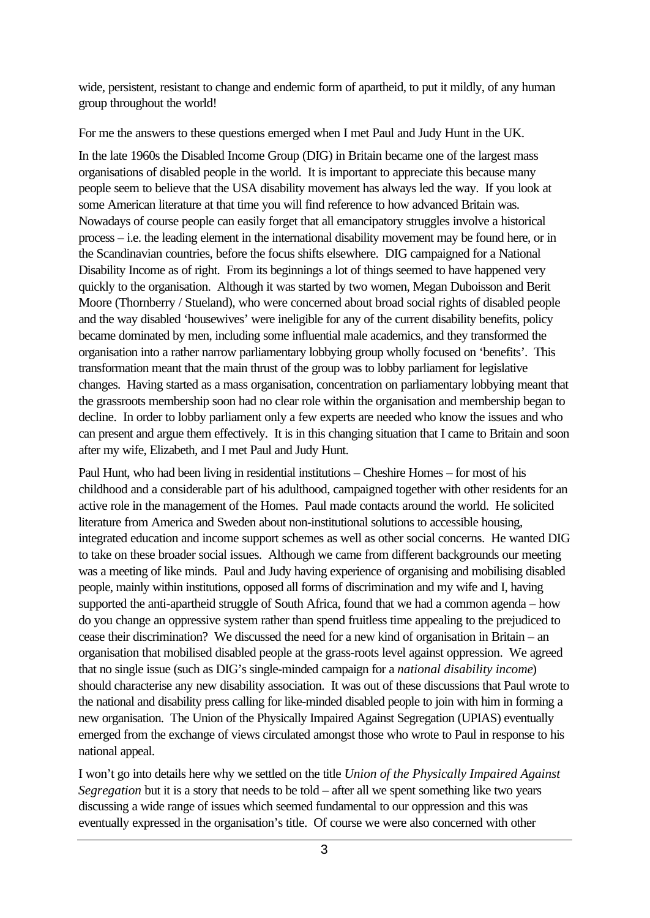wide, persistent, resistant to change and endemic form of apartheid, to put it mildly, of any human group throughout the world!

For me the answers to these questions emerged when I met Paul and Judy Hunt in the UK.

In the late 1960s the Disabled Income Group (DIG) in Britain became one of the largest mass organisations of disabled people in the world. It is important to appreciate this because many people seem to believe that the USA disability movement has always led the way. If you look at some American literature at that time you will find reference to how advanced Britain was. Nowadays of course people can easily forget that all emancipatory struggles involve a historical process – i.e. the leading element in the international disability movement may be found here, or in the Scandinavian countries, before the focus shifts elsewhere. DIG campaigned for a National Disability Income as of right. From its beginnings a lot of things seemed to have happened very quickly to the organisation. Although it was started by two women, Megan Duboisson and Berit Moore (Thornberry / Stueland), who were concerned about broad social rights of disabled people and the way disabled 'housewives' were ineligible for any of the current disability benefits, policy became dominated by men, including some influential male academics, and they transformed the organisation into a rather narrow parliamentary lobbying group wholly focused on 'benefits'. This transformation meant that the main thrust of the group was to lobby parliament for legislative changes. Having started as a mass organisation, concentration on parliamentary lobbying meant that the grassroots membership soon had no clear role within the organisation and membership began to decline. In order to lobby parliament only a few experts are needed who know the issues and who can present and argue them effectively. It is in this changing situation that I came to Britain and soon after my wife, Elizabeth, and I met Paul and Judy Hunt.

Paul Hunt, who had been living in residential institutions – Cheshire Homes – for most of his childhood and a considerable part of his adulthood, campaigned together with other residents for an active role in the management of the Homes. Paul made contacts around the world. He solicited literature from America and Sweden about non-institutional solutions to accessible housing, integrated education and income support schemes as well as other social concerns. He wanted DIG to take on these broader social issues. Although we came from different backgrounds our meeting was a meeting of like minds. Paul and Judy having experience of organising and mobilising disabled people, mainly within institutions, opposed all forms of discrimination and my wife and I, having supported the anti-apartheid struggle of South Africa, found that we had a common agenda – how do you change an oppressive system rather than spend fruitless time appealing to the prejudiced to cease their discrimination? We discussed the need for a new kind of organisation in Britain – an organisation that mobilised disabled people at the grass-roots level against oppression. We agreed that no single issue (such as DIG's single-minded campaign for a *national disability income*) should characterise any new disability association. It was out of these discussions that Paul wrote to the national and disability press calling for like-minded disabled people to join with him in forming a new organisation. The Union of the Physically Impaired Against Segregation (UPIAS) eventually emerged from the exchange of views circulated amongst those who wrote to Paul in response to his national appeal.

I won't go into details here why we settled on the title *Union of the Physically Impaired Against Segregation* but it is a story that needs to be told – after all we spent something like two years discussing a wide range of issues which seemed fundamental to our oppression and this was eventually expressed in the organisation's title. Of course we were also concerned with other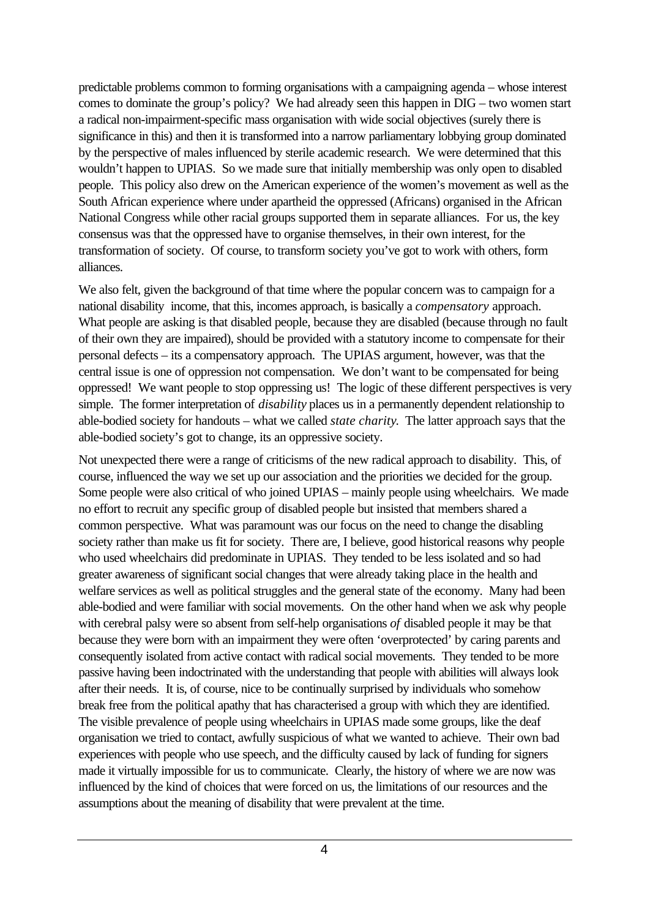predictable problems common to forming organisations with a campaigning agenda – whose interest comes to dominate the group's policy? We had already seen this happen in DIG – two women start a radical non-impairment-specific mass organisation with wide social objectives (surely there is significance in this) and then it is transformed into a narrow parliamentary lobbying group dominated by the perspective of males influenced by sterile academic research. We were determined that this wouldn't happen to UPIAS. So we made sure that initially membership was only open to disabled people. This policy also drew on the American experience of the women's movement as well as the South African experience where under apartheid the oppressed (Africans) organised in the African National Congress while other racial groups supported them in separate alliances. For us, the key consensus was that the oppressed have to organise themselves, in their own interest, for the transformation of society. Of course, to transform society you've got to work with others, form alliances.

We also felt, given the background of that time where the popular concern was to campaign for a national disability income, that this, incomes approach, is basically a *compensatory* approach. What people are asking is that disabled people, because they are disabled (because through no fault of their own they are impaired), should be provided with a statutory income to compensate for their personal defects – its a compensatory approach. The UPIAS argument, however, was that the central issue is one of oppression not compensation. We don't want to be compensated for being oppressed! We want people to stop oppressing us! The logic of these different perspectives is very simple. The former interpretation of *disability* places us in a permanently dependent relationship to able-bodied society for handouts – what we called *state charity*. The latter approach says that the able-bodied society's got to change, its an oppressive society.

Not unexpected there were a range of criticisms of the new radical approach to disability. This, of course, influenced the way we set up our association and the priorities we decided for the group. Some people were also critical of who joined UPIAS – mainly people using wheelchairs. We made no effort to recruit any specific group of disabled people but insisted that members shared a common perspective. What was paramount was our focus on the need to change the disabling society rather than make us fit for society. There are, I believe, good historical reasons why people who used wheelchairs did predominate in UPIAS. They tended to be less isolated and so had greater awareness of significant social changes that were already taking place in the health and welfare services as well as political struggles and the general state of the economy. Many had been able-bodied and were familiar with social movements. On the other hand when we ask why people with cerebral palsy were so absent from self-help organisations *of* disabled people it may be that because they were born with an impairment they were often 'overprotected' by caring parents and consequently isolated from active contact with radical social movements. They tended to be more passive having been indoctrinated with the understanding that people with abilities will always look after their needs. It is, of course, nice to be continually surprised by individuals who somehow break free from the political apathy that has characterised a group with which they are identified. The visible prevalence of people using wheelchairs in UPIAS made some groups, like the deaf organisation we tried to contact, awfully suspicious of what we wanted to achieve. Their own bad experiences with people who use speech, and the difficulty caused by lack of funding for signers made it virtually impossible for us to communicate. Clearly, the history of where we are now was influenced by the kind of choices that were forced on us, the limitations of our resources and the assumptions about the meaning of disability that were prevalent at the time.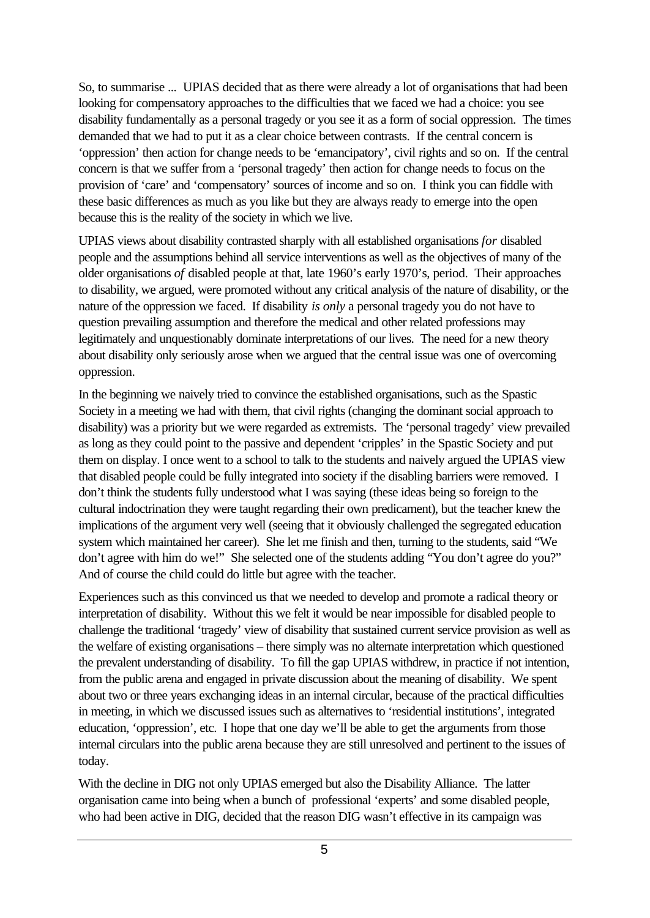So, to summarise ... UPIAS decided that as there were already a lot of organisations that had been looking for compensatory approaches to the difficulties that we faced we had a choice: you see disability fundamentally as a personal tragedy or you see it as a form of social oppression. The times demanded that we had to put it as a clear choice between contrasts. If the central concern is 'oppression' then action for change needs to be 'emancipatory', civil rights and so on. If the central concern is that we suffer from a 'personal tragedy' then action for change needs to focus on the provision of 'care' and 'compensatory' sources of income and so on. I think you can fiddle with these basic differences as much as you like but they are always ready to emerge into the open because this is the reality of the society in which we live.

UPIAS views about disability contrasted sharply with all established organisations *for* disabled people and the assumptions behind all service interventions as well as the objectives of many of the older organisations *of* disabled people at that, late 1960's early 1970's, period. Their approaches to disability, we argued, were promoted without any critical analysis of the nature of disability, or the nature of the oppression we faced. If disability *is only* a personal tragedy you do not have to question prevailing assumption and therefore the medical and other related professions may legitimately and unquestionably dominate interpretations of our lives. The need for a new theory about disability only seriously arose when we argued that the central issue was one of overcoming oppression.

In the beginning we naively tried to convince the established organisations, such as the Spastic Society in a meeting we had with them, that civil rights (changing the dominant social approach to disability) was a priority but we were regarded as extremists. The 'personal tragedy' view prevailed as long as they could point to the passive and dependent 'cripples' in the Spastic Society and put them on display. I once went to a school to talk to the students and naively argued the UPIAS view that disabled people could be fully integrated into society if the disabling barriers were removed. I don't think the students fully understood what I was saying (these ideas being so foreign to the cultural indoctrination they were taught regarding their own predicament), but the teacher knew the implications of the argument very well (seeing that it obviously challenged the segregated education system which maintained her career). She let me finish and then, turning to the students, said "We don't agree with him do we!" She selected one of the students adding "You don't agree do you?" And of course the child could do little but agree with the teacher.

Experiences such as this convinced us that we needed to develop and promote a radical theory or interpretation of disability. Without this we felt it would be near impossible for disabled people to challenge the traditional 'tragedy' view of disability that sustained current service provision as well as the welfare of existing organisations – there simply was no alternate interpretation which questioned the prevalent understanding of disability. To fill the gap UPIAS withdrew, in practice if not intention, from the public arena and engaged in private discussion about the meaning of disability. We spent about two or three years exchanging ideas in an internal circular, because of the practical difficulties in meeting, in which we discussed issues such as alternatives to 'residential institutions', integrated education, 'oppression', etc. I hope that one day we'll be able to get the arguments from those internal circulars into the public arena because they are still unresolved and pertinent to the issues of today.

With the decline in DIG not only UPIAS emerged but also the Disability Alliance. The latter organisation came into being when a bunch of professional 'experts' and some disabled people, who had been active in DIG, decided that the reason DIG wasn't effective in its campaign was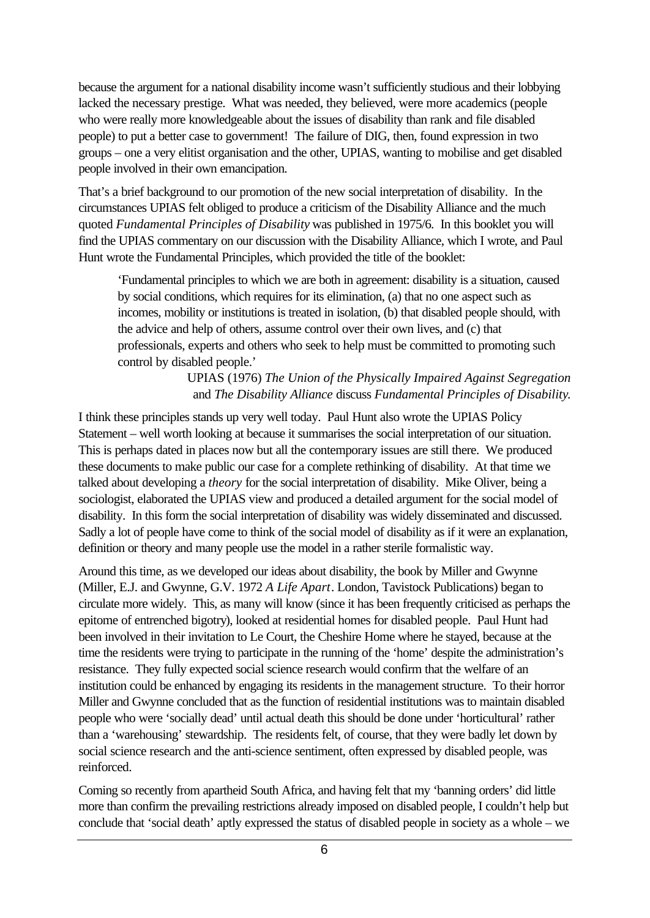because the argument for a national disability income wasn't sufficiently studious and their lobbying lacked the necessary prestige. What was needed, they believed, were more academics (people who were really more knowledgeable about the issues of disability than rank and file disabled people) to put a better case to government! The failure of DIG, then, found expression in two groups – one a very elitist organisation and the other, UPIAS, wanting to mobilise and get disabled people involved in their own emancipation.

That's a brief background to our promotion of the new social interpretation of disability. In the circumstances UPIAS felt obliged to produce a criticism of the Disability Alliance and the much quoted *Fundamental Principles of Disability* was published in 1975/6. In this booklet you will find the UPIAS commentary on our discussion with the Disability Alliance, which I wrote, and Paul Hunt wrote the Fundamental Principles, which provided the title of the booklet:

'Fundamental principles to which we are both in agreement: disability is a situation, caused by social conditions, which requires for its elimination, (a) that no one aspect such as incomes, mobility or institutions is treated in isolation, (b) that disabled people should, with the advice and help of others, assume control over their own lives, and (c) that professionals, experts and others who seek to help must be committed to promoting such control by disabled people.'

> UPIAS (1976) *The Union of the Physically Impaired Against Segregation*  and *The Disability Alliance* discuss *Fundamental Principles of Disability*.

I think these principles stands up very well today. Paul Hunt also wrote the UPIAS Policy Statement – well worth looking at because it summarises the social interpretation of our situation. This is perhaps dated in places now but all the contemporary issues are still there. We produced these documents to make public our case for a complete rethinking of disability. At that time we talked about developing a *theory* for the social interpretation of disability. Mike Oliver, being a sociologist, elaborated the UPIAS view and produced a detailed argument for the social model of disability. In this form the social interpretation of disability was widely disseminated and discussed. Sadly a lot of people have come to think of the social model of disability as if it were an explanation, definition or theory and many people use the model in a rather sterile formalistic way.

Around this time, as we developed our ideas about disability, the book by Miller and Gwynne (Miller, E.J. and Gwynne, G.V. 1972 *A Life Apart*. London, Tavistock Publications) began to circulate more widely. This, as many will know (since it has been frequently criticised as perhaps the epitome of entrenched bigotry), looked at residential homes for disabled people. Paul Hunt had been involved in their invitation to Le Court, the Cheshire Home where he stayed, because at the time the residents were trying to participate in the running of the 'home' despite the administration's resistance. They fully expected social science research would confirm that the welfare of an institution could be enhanced by engaging its residents in the management structure. To their horror Miller and Gwynne concluded that as the function of residential institutions was to maintain disabled people who were 'socially dead' until actual death this should be done under 'horticultural' rather than a 'warehousing' stewardship. The residents felt, of course, that they were badly let down by social science research and the anti-science sentiment, often expressed by disabled people, was reinforced.

Coming so recently from apartheid South Africa, and having felt that my 'banning orders' did little more than confirm the prevailing restrictions already imposed on disabled people, I couldn't help but conclude that 'social death' aptly expressed the status of disabled people in society as a whole – we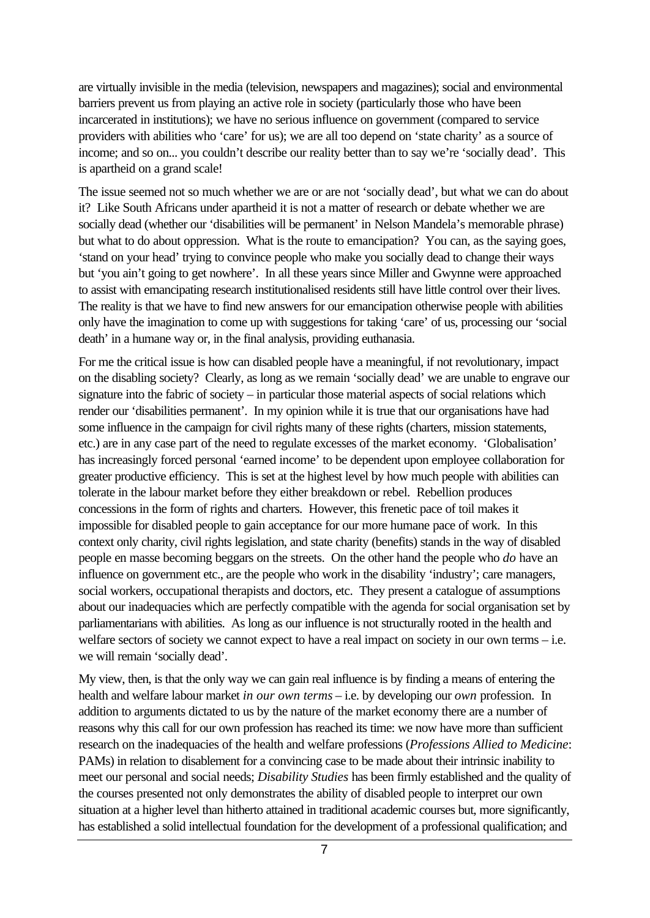are virtually invisible in the media (television, newspapers and magazines); social and environmental barriers prevent us from playing an active role in society (particularly those who have been incarcerated in institutions); we have no serious influence on government (compared to service providers with abilities who 'care' for us); we are all too depend on 'state charity' as a source of income; and so on... you couldn't describe our reality better than to say we're 'socially dead'. This is apartheid on a grand scale!

The issue seemed not so much whether we are or are not 'socially dead', but what we can do about it? Like South Africans under apartheid it is not a matter of research or debate whether we are socially dead (whether our 'disabilities will be permanent' in Nelson Mandela's memorable phrase) but what to do about oppression. What is the route to emancipation? You can, as the saying goes, 'stand on your head' trying to convince people who make you socially dead to change their ways but 'you ain't going to get nowhere'. In all these years since Miller and Gwynne were approached to assist with emancipating research institutionalised residents still have little control over their lives. The reality is that we have to find new answers for our emancipation otherwise people with abilities only have the imagination to come up with suggestions for taking 'care' of us, processing our 'social death' in a humane way or, in the final analysis, providing euthanasia.

For me the critical issue is how can disabled people have a meaningful, if not revolutionary, impact on the disabling society? Clearly, as long as we remain 'socially dead' we are unable to engrave our signature into the fabric of society – in particular those material aspects of social relations which render our 'disabilities permanent'. In my opinion while it is true that our organisations have had some influence in the campaign for civil rights many of these rights (charters, mission statements, etc.) are in any case part of the need to regulate excesses of the market economy. 'Globalisation' has increasingly forced personal 'earned income' to be dependent upon employee collaboration for greater productive efficiency. This is set at the highest level by how much people with abilities can tolerate in the labour market before they either breakdown or rebel. Rebellion produces concessions in the form of rights and charters. However, this frenetic pace of toil makes it impossible for disabled people to gain acceptance for our more humane pace of work. In this context only charity, civil rights legislation, and state charity (benefits) stands in the way of disabled people en masse becoming beggars on the streets. On the other hand the people who *do* have an influence on government etc., are the people who work in the disability 'industry'; care managers, social workers, occupational therapists and doctors, etc. They present a catalogue of assumptions about our inadequacies which are perfectly compatible with the agenda for social organisation set by parliamentarians with abilities. As long as our influence is not structurally rooted in the health and welfare sectors of society we cannot expect to have a real impact on society in our own terms – i.e. we will remain 'socially dead'.

My view, then, is that the only way we can gain real influence is by finding a means of entering the health and welfare labour market *in our own terms* – i.e. by developing our *own* profession. In addition to arguments dictated to us by the nature of the market economy there are a number of reasons why this call for our own profession has reached its time: we now have more than sufficient research on the inadequacies of the health and welfare professions (*Professions Allied to Medicine*: PAMs) in relation to disablement for a convincing case to be made about their intrinsic inability to meet our personal and social needs; *Disability Studies* has been firmly established and the quality of the courses presented not only demonstrates the ability of disabled people to interpret our own situation at a higher level than hitherto attained in traditional academic courses but, more significantly, has established a solid intellectual foundation for the development of a professional qualification; and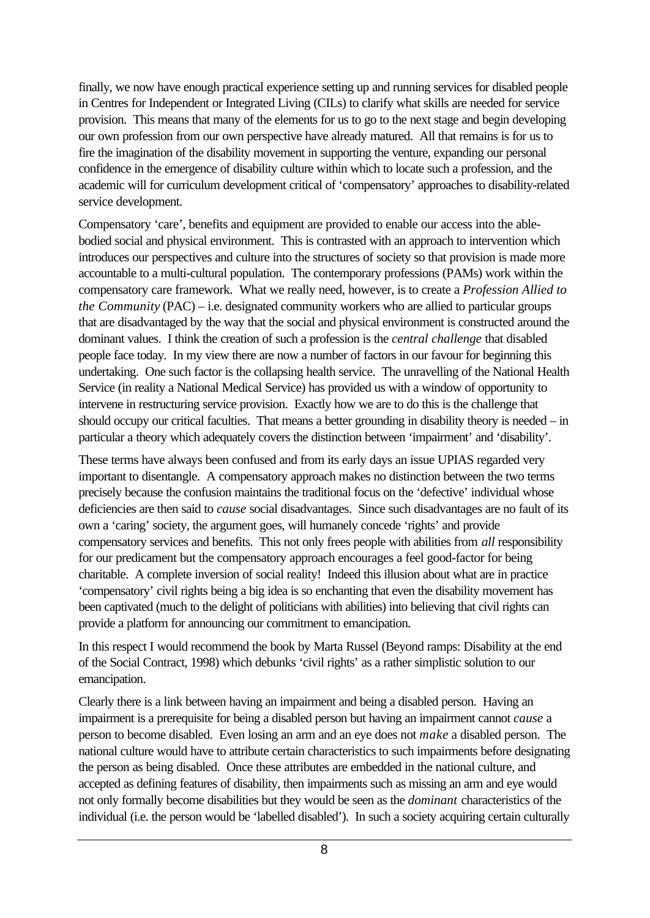finally, we now have enough practical experience setting up and running services for disabled people in Centres for Independent or Integrated Living (CILs) to clarify what skills are needed for service provision. This means that many of the elements for us to go to the next stage and begin developing our own profession from our own perspective have already matured. All that remains is for us to fire the imagination of the disability movement in supporting the venture, expanding our personal confidence in the emergence of disability culture within which to locate such a profession, and the academic will for curriculum development critical of 'compensatory' approaches to disability-related service development.

Compensatory 'care', benefits and equipment are provided to enable our access into the ablebodied social and physical environment. This is contrasted with an approach to intervention which introduces our perspectives and culture into the structures of society so that provision is made more accountable to a multi-cultural population. The contemporary professions (PAMs) work within the compensatory care framework. What we really need, however, is to create a *Profession Allied to the Community* (PAC) – i.e. designated community workers who are allied to particular groups that are disadvantaged by the way that the social and physical environment is constructed around the dominant values. I think the creation of such a profession is the *central challenge* that disabled people face today. In my view there are now a number of factors in our favour for beginning this undertaking. One such factor is the collapsing health service. The unravelling of the National Health Service (in reality a National Medical Service) has provided us with a window of opportunity to intervene in restructuring service provision. Exactly how we are to do this is the challenge that should occupy our critical faculties. That means a better grounding in disability theory is needed – in particular a theory which adequately covers the distinction between 'impairment' and 'disability'.

These terms have always been confused and from its early days an issue UPIAS regarded very important to disentangle. A compensatory approach makes no distinction between the two terms precisely because the confusion maintains the traditional focus on the 'defective' individual whose deficiencies are then said to *cause* social disadvantages. Since such disadvantages are no fault of its own a 'caring' society, the argument goes, will humanely concede 'rights' and provide compensatory services and benefits. This not only frees people with abilities from *all* responsibility for our predicament but the compensatory approach encourages a feel good-factor for being charitable. A complete inversion of social reality! Indeed this illusion about what are in practice 'compensatory' civil rights being a big idea is so enchanting that even the disability movement has been captivated (much to the delight of politicians with abilities) into believing that civil rights can provide a platform for announcing our commitment to emancipation.

In this respect I would recommend the book by Marta Russel (Beyond ramps: Disability at the end of the Social Contract, 1998) which debunks 'civil rights' as a rather simplistic solution to our emancipation.

Clearly there is a link between having an impairment and being a disabled person. Having an impairment is a prerequisite for being a disabled person but having an impairment cannot *cause* a person to become disabled. Even losing an arm and an eye does not *make* a disabled person. The national culture would have to attribute certain characteristics to such impairments before designating the person as being disabled. Once these attributes are embedded in the national culture, and accepted as defining features of disability, then impairments such as missing an arm and eye would not only formally become disabilities but they would be seen as the *dominant* characteristics of the individual (i.e. the person would be 'labelled disabled'). In such a society acquiring certain culturally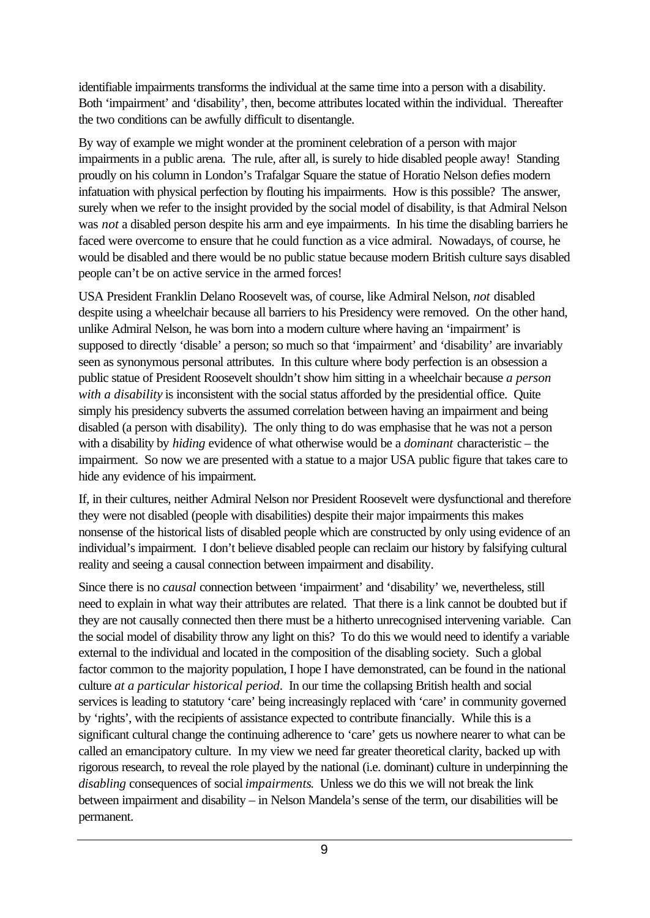identifiable impairments transforms the individual at the same time into a person with a disability. Both 'impairment' and 'disability', then, become attributes located within the individual. Thereafter the two conditions can be awfully difficult to disentangle.

By way of example we might wonder at the prominent celebration of a person with major impairments in a public arena. The rule, after all, is surely to hide disabled people away! Standing proudly on his column in London's Trafalgar Square the statue of Horatio Nelson defies modern infatuation with physical perfection by flouting his impairments. How is this possible? The answer, surely when we refer to the insight provided by the social model of disability, is that Admiral Nelson was *not* a disabled person despite his arm and eye impairments. In his time the disabling barriers he faced were overcome to ensure that he could function as a vice admiral. Nowadays, of course, he would be disabled and there would be no public statue because modern British culture says disabled people can't be on active service in the armed forces!

USA President Franklin Delano Roosevelt was, of course, like Admiral Nelson, *not* disabled despite using a wheelchair because all barriers to his Presidency were removed. On the other hand, unlike Admiral Nelson, he was born into a modern culture where having an 'impairment' is supposed to directly 'disable' a person; so much so that 'impairment' and 'disability' are invariably seen as synonymous personal attributes. In this culture where body perfection is an obsession a public statue of President Roosevelt shouldn't show him sitting in a wheelchair because *a person with a disability* is inconsistent with the social status afforded by the presidential office. Ouite simply his presidency subverts the assumed correlation between having an impairment and being disabled (a person with disability). The only thing to do was emphasise that he was not a person with a disability by *hiding* evidence of what otherwise would be a *dominant* characteristic – the impairment. So now we are presented with a statue to a major USA public figure that takes care to hide any evidence of his impairment.

If, in their cultures, neither Admiral Nelson nor President Roosevelt were dysfunctional and therefore they were not disabled (people with disabilities) despite their major impairments this makes nonsense of the historical lists of disabled people which are constructed by only using evidence of an individual's impairment. I don't believe disabled people can reclaim our history by falsifying cultural reality and seeing a causal connection between impairment and disability.

Since there is no *causal* connection between 'impairment' and 'disability' we, nevertheless, still need to explain in what way their attributes are related. That there is a link cannot be doubted but if they are not causally connected then there must be a hitherto unrecognised intervening variable. Can the social model of disability throw any light on this? To do this we would need to identify a variable external to the individual and located in the composition of the disabling society. Such a global factor common to the majority population, I hope I have demonstrated, can be found in the national culture *at a particular historical period*. In our time the collapsing British health and social services is leading to statutory 'care' being increasingly replaced with 'care' in community governed by 'rights', with the recipients of assistance expected to contribute financially. While this is a significant cultural change the continuing adherence to 'care' gets us nowhere nearer to what can be called an emancipatory culture. In my view we need far greater theoretical clarity, backed up with rigorous research, to reveal the role played by the national (i.e. dominant) culture in underpinning the *disabling* consequences of social *impairments*. Unless we do this we will not break the link between impairment and disability – in Nelson Mandela's sense of the term, our disabilities will be permanent.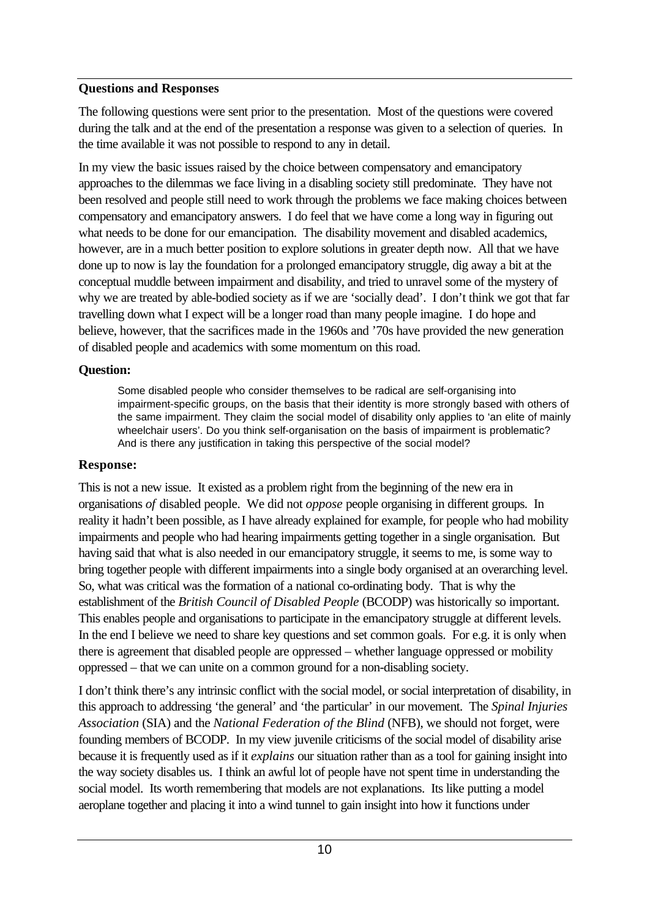## **Questions and Responses**

The following questions were sent prior to the presentation. Most of the questions were covered during the talk and at the end of the presentation a response was given to a selection of queries. In the time available it was not possible to respond to any in detail.

In my view the basic issues raised by the choice between compensatory and emancipatory approaches to the dilemmas we face living in a disabling society still predominate. They have not been resolved and people still need to work through the problems we face making choices between compensatory and emancipatory answers. I do feel that we have come a long way in figuring out what needs to be done for our emancipation. The disability movement and disabled academics, however, are in a much better position to explore solutions in greater depth now. All that we have done up to now is lay the foundation for a prolonged emancipatory struggle, dig away a bit at the conceptual muddle between impairment and disability, and tried to unravel some of the mystery of why we are treated by able-bodied society as if we are 'socially dead'. I don't think we got that far travelling down what I expect will be a longer road than many people imagine. I do hope and believe, however, that the sacrifices made in the 1960s and '70s have provided the new generation of disabled people and academics with some momentum on this road.

## **Question:**

Some disabled people who consider themselves to be radical are self-organising into impairment-specific groups, on the basis that their identity is more strongly based with others of the same impairment. They claim the social model of disability only applies to 'an elite of mainly wheelchair users'. Do you think self-organisation on the basis of impairment is problematic? And is there any justification in taking this perspective of the social model?

## **Response:**

This is not a new issue. It existed as a problem right from the beginning of the new era in organisations *of* disabled people. We did not *oppose* people organising in different groups. In reality it hadn't been possible, as I have already explained for example, for people who had mobility impairments and people who had hearing impairments getting together in a single organisation. But having said that what is also needed in our emancipatory struggle, it seems to me, is some way to bring together people with different impairments into a single body organised at an overarching level. So, what was critical was the formation of a national co-ordinating body. That is why the establishment of the *British Council of Disabled People* (BCODP) was historically so important. This enables people and organisations to participate in the emancipatory struggle at different levels. In the end I believe we need to share key questions and set common goals. For e.g. it is only when there is agreement that disabled people are oppressed – whether language oppressed or mobility oppressed – that we can unite on a common ground for a non-disabling society.

I don't think there's any intrinsic conflict with the social model, or social interpretation of disability, in this approach to addressing 'the general' and 'the particular' in our movement. The *Spinal Injuries Association* (SIA) and the *National Federation of the Blind* (NFB), we should not forget, were founding members of BCODP. In my view juvenile criticisms of the social model of disability arise because it is frequently used as if it *explains* our situation rather than as a tool for gaining insight into the way society disables us. I think an awful lot of people have not spent time in understanding the social model. Its worth remembering that models are not explanations. Its like putting a model aeroplane together and placing it into a wind tunnel to gain insight into how it functions under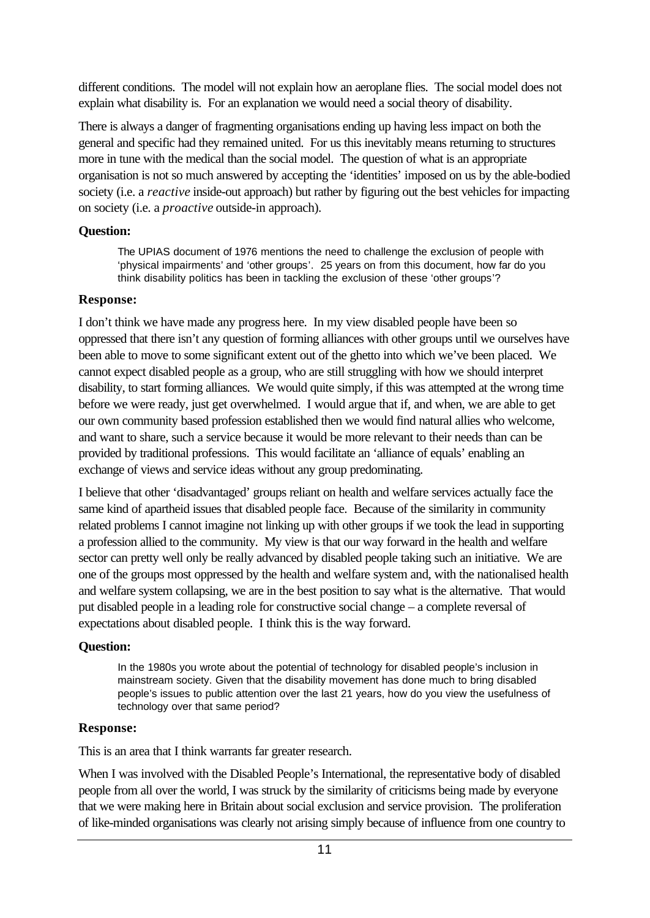different conditions. The model will not explain how an aeroplane flies. The social model does not explain what disability is. For an explanation we would need a social theory of disability.

There is always a danger of fragmenting organisations ending up having less impact on both the general and specific had they remained united. For us this inevitably means returning to structures more in tune with the medical than the social model. The question of what is an appropriate organisation is not so much answered by accepting the 'identities' imposed on us by the able-bodied society (i.e. a *reactive* inside-out approach) but rather by figuring out the best vehicles for impacting on society (i.e. a *proactive* outside-in approach).

## **Question:**

The UPIAS document of 1976 mentions the need to challenge the exclusion of people with 'physical impairments' and 'other groups'. 25 years on from this document, how far do you think disability politics has been in tackling the exclusion of these 'other groups'?

## **Response:**

I don't think we have made any progress here. In my view disabled people have been so oppressed that there isn't any question of forming alliances with other groups until we ourselves have been able to move to some significant extent out of the ghetto into which we've been placed. We cannot expect disabled people as a group, who are still struggling with how we should interpret disability, to start forming alliances. We would quite simply, if this was attempted at the wrong time before we were ready, just get overwhelmed. I would argue that if, and when, we are able to get our own community based profession established then we would find natural allies who welcome, and want to share, such a service because it would be more relevant to their needs than can be provided by traditional professions. This would facilitate an 'alliance of equals' enabling an exchange of views and service ideas without any group predominating.

I believe that other 'disadvantaged' groups reliant on health and welfare services actually face the same kind of apartheid issues that disabled people face. Because of the similarity in community related problems I cannot imagine not linking up with other groups if we took the lead in supporting a profession allied to the community. My view is that our way forward in the health and welfare sector can pretty well only be really advanced by disabled people taking such an initiative. We are one of the groups most oppressed by the health and welfare system and, with the nationalised health and welfare system collapsing, we are in the best position to say what is the alternative. That would put disabled people in a leading role for constructive social change – a complete reversal of expectations about disabled people. I think this is the way forward.

## **Question:**

In the 1980s you wrote about the potential of technology for disabled people's inclusion in mainstream society. Given that the disability movement has done much to bring disabled people's issues to public attention over the last 21 years, how do you view the usefulness of technology over that same period?

## **Response:**

This is an area that I think warrants far greater research.

When I was involved with the Disabled People's International, the representative body of disabled people from all over the world, I was struck by the similarity of criticisms being made by everyone that we were making here in Britain about social exclusion and service provision. The proliferation of like-minded organisations was clearly not arising simply because of influence from one country to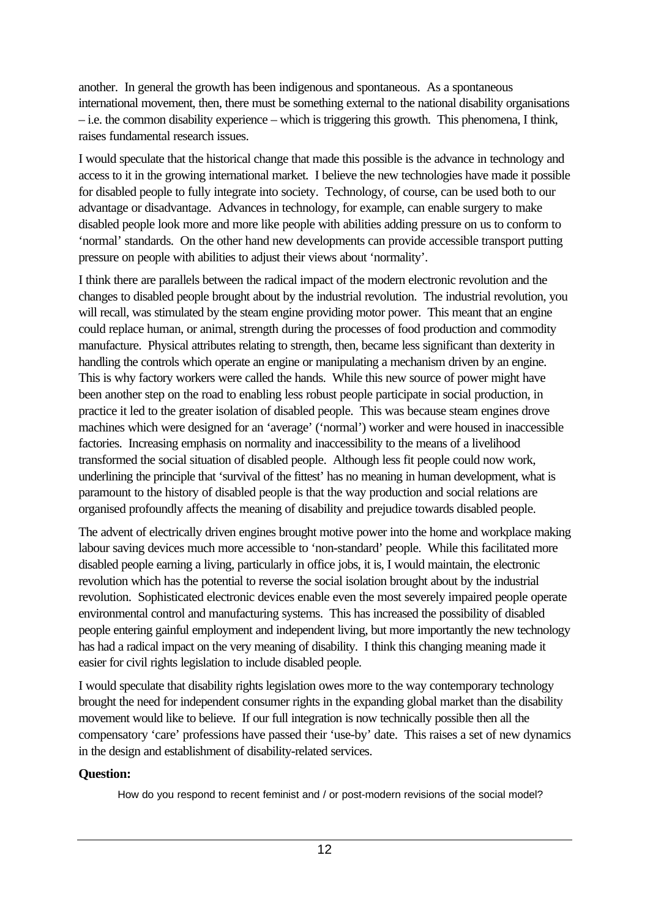another. In general the growth has been indigenous and spontaneous. As a spontaneous international movement, then, there must be something external to the national disability organisations – i.e. the common disability experience – which is triggering this growth. This phenomena, I think, raises fundamental research issues.

I would speculate that the historical change that made this possible is the advance in technology and access to it in the growing international market. I believe the new technologies have made it possible for disabled people to fully integrate into society. Technology, of course, can be used both to our advantage or disadvantage. Advances in technology, for example, can enable surgery to make disabled people look more and more like people with abilities adding pressure on us to conform to 'normal' standards. On the other hand new developments can provide accessible transport putting pressure on people with abilities to adjust their views about 'normality'.

I think there are parallels between the radical impact of the modern electronic revolution and the changes to disabled people brought about by the industrial revolution. The industrial revolution, you will recall, was stimulated by the steam engine providing motor power. This meant that an engine could replace human, or animal, strength during the processes of food production and commodity manufacture. Physical attributes relating to strength, then, became less significant than dexterity in handling the controls which operate an engine or manipulating a mechanism driven by an engine. This is why factory workers were called the hands. While this new source of power might have been another step on the road to enabling less robust people participate in social production, in practice it led to the greater isolation of disabled people. This was because steam engines drove machines which were designed for an 'average' ('normal') worker and were housed in inaccessible factories. Increasing emphasis on normality and inaccessibility to the means of a livelihood transformed the social situation of disabled people. Although less fit people could now work, underlining the principle that 'survival of the fittest' has no meaning in human development, what is paramount to the history of disabled people is that the way production and social relations are organised profoundly affects the meaning of disability and prejudice towards disabled people.

The advent of electrically driven engines brought motive power into the home and workplace making labour saving devices much more accessible to 'non-standard' people. While this facilitated more disabled people earning a living, particularly in office jobs, it is, I would maintain, the electronic revolution which has the potential to reverse the social isolation brought about by the industrial revolution. Sophisticated electronic devices enable even the most severely impaired people operate environmental control and manufacturing systems. This has increased the possibility of disabled people entering gainful employment and independent living, but more importantly the new technology has had a radical impact on the very meaning of disability. I think this changing meaning made it easier for civil rights legislation to include disabled people.

I would speculate that disability rights legislation owes more to the way contemporary technology brought the need for independent consumer rights in the expanding global market than the disability movement would like to believe. If our full integration is now technically possible then all the compensatory 'care' professions have passed their 'use-by' date. This raises a set of new dynamics in the design and establishment of disability-related services.

## **Question:**

How do you respond to recent feminist and / or post-modern revisions of the social model?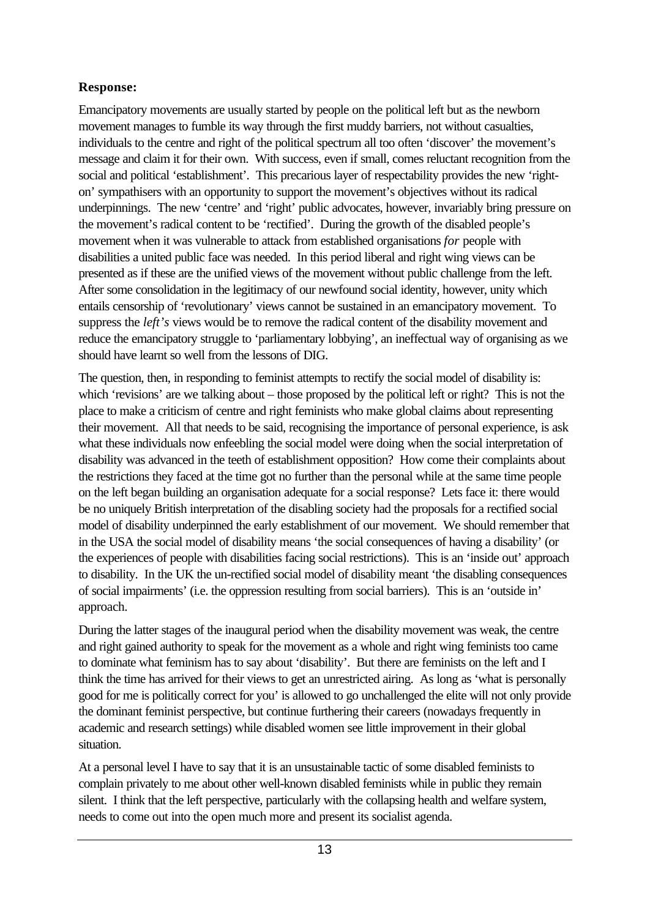# **Response:**

Emancipatory movements are usually started by people on the political left but as the newborn movement manages to fumble its way through the first muddy barriers, not without casualties, individuals to the centre and right of the political spectrum all too often 'discover' the movement's message and claim it for their own. With success, even if small, comes reluctant recognition from the social and political 'establishment'. This precarious layer of respectability provides the new 'righton' sympathisers with an opportunity to support the movement's objectives without its radical underpinnings. The new 'centre' and 'right' public advocates, however, invariably bring pressure on the movement's radical content to be 'rectified'. During the growth of the disabled people's movement when it was vulnerable to attack from established organisations *for* people with disabilities a united public face was needed. In this period liberal and right wing views can be presented as if these are the unified views of the movement without public challenge from the left. After some consolidation in the legitimacy of our newfound social identity, however, unity which entails censorship of 'revolutionary' views cannot be sustained in an emancipatory movement. To suppress the *left's* views would be to remove the radical content of the disability movement and reduce the emancipatory struggle to 'parliamentary lobbying', an ineffectual way of organising as we should have learnt so well from the lessons of DIG.

The question, then, in responding to feminist attempts to rectify the social model of disability is: which 'revisions' are we talking about – those proposed by the political left or right? This is not the place to make a criticism of centre and right feminists who make global claims about representing their movement. All that needs to be said, recognising the importance of personal experience, is ask what these individuals now enfeebling the social model were doing when the social interpretation of disability was advanced in the teeth of establishment opposition? How come their complaints about the restrictions they faced at the time got no further than the personal while at the same time people on the left began building an organisation adequate for a social response? Lets face it: there would be no uniquely British interpretation of the disabling society had the proposals for a rectified social model of disability underpinned the early establishment of our movement. We should remember that in the USA the social model of disability means 'the social consequences of having a disability' (or the experiences of people with disabilities facing social restrictions). This is an 'inside out' approach to disability. In the UK the un-rectified social model of disability meant 'the disabling consequences of social impairments' (i.e. the oppression resulting from social barriers). This is an 'outside in' approach.

During the latter stages of the inaugural period when the disability movement was weak, the centre and right gained authority to speak for the movement as a whole and right wing feminists too came to dominate what feminism has to say about 'disability'. But there are feminists on the left and I think the time has arrived for their views to get an unrestricted airing. As long as 'what is personally good for me is politically correct for you' is allowed to go unchallenged the elite will not only provide the dominant feminist perspective, but continue furthering their careers (nowadays frequently in academic and research settings) while disabled women see little improvement in their global situation.

At a personal level I have to say that it is an unsustainable tactic of some disabled feminists to complain privately to me about other well-known disabled feminists while in public they remain silent. I think that the left perspective, particularly with the collapsing health and welfare system, needs to come out into the open much more and present its socialist agenda.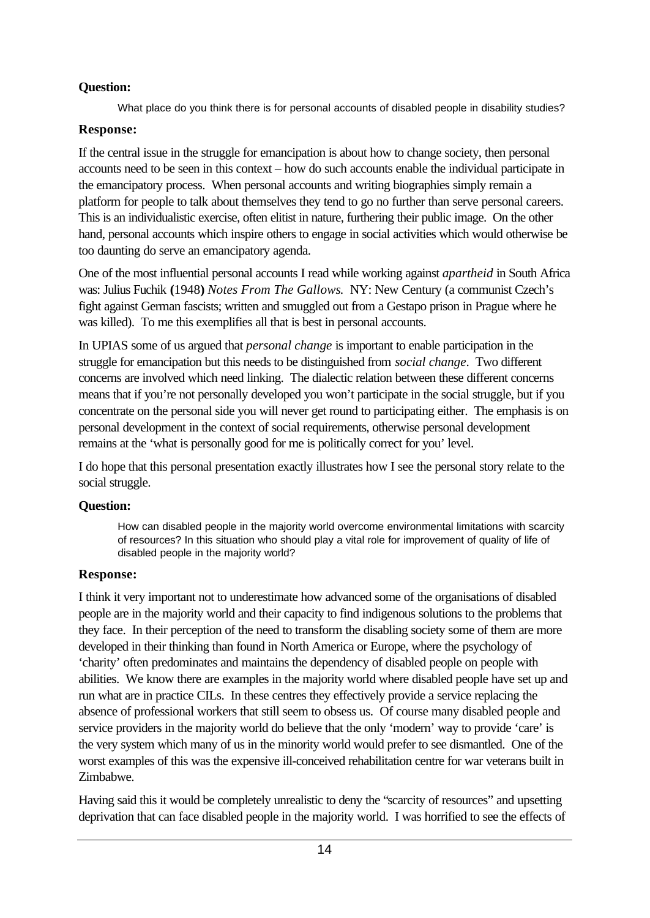## **Question:**

What place do you think there is for personal accounts of disabled people in disability studies?

## **Response:**

If the central issue in the struggle for emancipation is about how to change society, then personal accounts need to be seen in this context – how do such accounts enable the individual participate in the emancipatory process. When personal accounts and writing biographies simply remain a platform for people to talk about themselves they tend to go no further than serve personal careers. This is an individualistic exercise, often elitist in nature, furthering their public image. On the other hand, personal accounts which inspire others to engage in social activities which would otherwise be too daunting do serve an emancipatory agenda.

One of the most influential personal accounts I read while working against *apartheid* in South Africa was: Julius Fuchik **(**1948**)** *Notes From The Gallows*. NY: New Century (a communist Czech's fight against German fascists; written and smuggled out from a Gestapo prison in Prague where he was killed). To me this exemplifies all that is best in personal accounts.

In UPIAS some of us argued that *personal change* is important to enable participation in the struggle for emancipation but this needs to be distinguished from *social change*. Two different concerns are involved which need linking. The dialectic relation between these different concerns means that if you're not personally developed you won't participate in the social struggle, but if you concentrate on the personal side you will never get round to participating either. The emphasis is on personal development in the context of social requirements, otherwise personal development remains at the 'what is personally good for me is politically correct for you' level.

I do hope that this personal presentation exactly illustrates how I see the personal story relate to the social struggle.

# **Question:**

How can disabled people in the majority world overcome environmental limitations with scarcity of resources? In this situation who should play a vital role for improvement of quality of life of disabled people in the majority world?

# **Response:**

I think it very important not to underestimate how advanced some of the organisations of disabled people are in the majority world and their capacity to find indigenous solutions to the problems that they face. In their perception of the need to transform the disabling society some of them are more developed in their thinking than found in North America or Europe, where the psychology of 'charity' often predominates and maintains the dependency of disabled people on people with abilities. We know there are examples in the majority world where disabled people have set up and run what are in practice CILs. In these centres they effectively provide a service replacing the absence of professional workers that still seem to obsess us. Of course many disabled people and service providers in the majority world do believe that the only 'modern' way to provide 'care' is the very system which many of us in the minority world would prefer to see dismantled. One of the worst examples of this was the expensive ill-conceived rehabilitation centre for war veterans built in Zimbabwe.

Having said this it would be completely unrealistic to deny the "scarcity of resources" and upsetting deprivation that can face disabled people in the majority world. I was horrified to see the effects of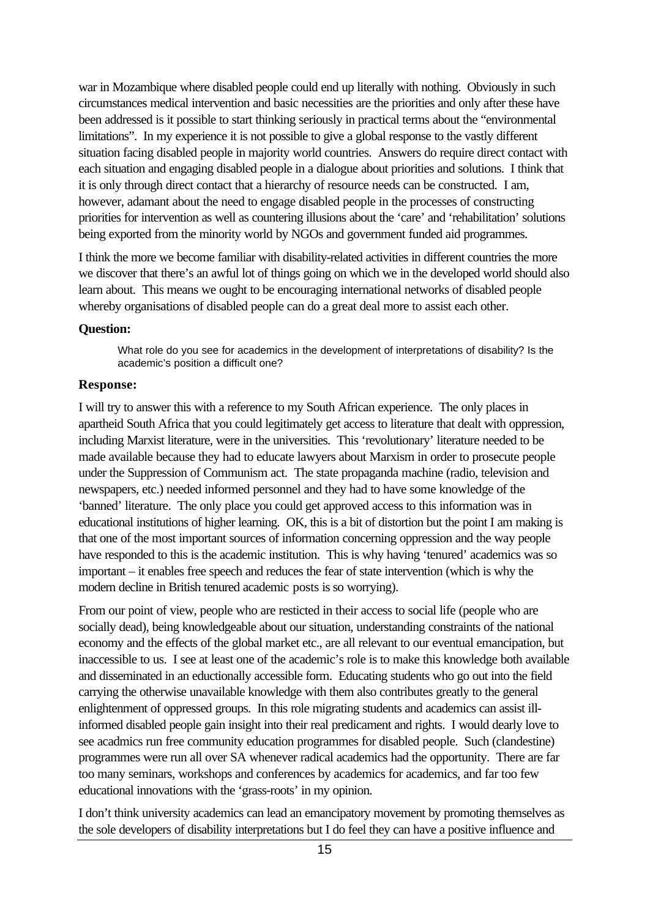war in Mozambique where disabled people could end up literally with nothing. Obviously in such circumstances medical intervention and basic necessities are the priorities and only after these have been addressed is it possible to start thinking seriously in practical terms about the "environmental limitations". In my experience it is not possible to give a global response to the vastly different situation facing disabled people in majority world countries. Answers do require direct contact with each situation and engaging disabled people in a dialogue about priorities and solutions. I think that it is only through direct contact that a hierarchy of resource needs can be constructed. I am, however, adamant about the need to engage disabled people in the processes of constructing priorities for intervention as well as countering illusions about the 'care' and 'rehabilitation' solutions being exported from the minority world by NGOs and government funded aid programmes.

I think the more we become familiar with disability-related activities in different countries the more we discover that there's an awful lot of things going on which we in the developed world should also learn about. This means we ought to be encouraging international networks of disabled people whereby organisations of disabled people can do a great deal more to assist each other.

#### **Question:**

What role do you see for academics in the development of interpretations of disability? Is the academic's position a difficult one?

#### **Response:**

I will try to answer this with a reference to my South African experience. The only places in apartheid South Africa that you could legitimately get access to literature that dealt with oppression, including Marxist literature, were in the universities. This 'revolutionary' literature needed to be made available because they had to educate lawyers about Marxism in order to prosecute people under the Suppression of Communism act. The state propaganda machine (radio, television and newspapers, etc.) needed informed personnel and they had to have some knowledge of the 'banned' literature. The only place you could get approved access to this information was in educational institutions of higher learning. OK, this is a bit of distortion but the point I am making is that one of the most important sources of information concerning oppression and the way people have responded to this is the academic institution. This is why having 'tenured' academics was so important – it enables free speech and reduces the fear of state intervention (which is why the modern decline in British tenured academic posts is so worrying).

From our point of view, people who are resticted in their access to social life (people who are socially dead), being knowledgeable about our situation, understanding constraints of the national economy and the effects of the global market etc., are all relevant to our eventual emancipation, but inaccessible to us. I see at least one of the academic's role is to make this knowledge both available and disseminated in an eductionally accessible form. Educating students who go out into the field carrying the otherwise unavailable knowledge with them also contributes greatly to the general enlightenment of oppressed groups. In this role migrating students and academics can assist illinformed disabled people gain insight into their real predicament and rights. I would dearly love to see acadmics run free community education programmes for disabled people. Such (clandestine) programmes were run all over SA whenever radical academics had the opportunity. There are far too many seminars, workshops and conferences by academics for academics, and far too few educational innovations with the 'grass-roots' in my opinion.

I don't think university academics can lead an emancipatory movement by promoting themselves as the sole developers of disability interpretations but I do feel they can have a positive influence and